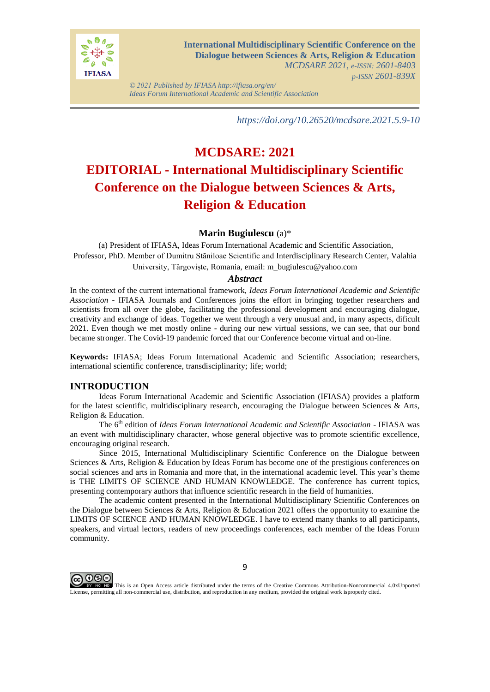

**International Multidisciplinary Scientific Conference on the Dialogue between Sciences & Arts, Religion & Education** *MCDSARE 2021, e-ISSN: 2601-8403 p-ISSN 2601-839X*

*© 2021 Published by IFIASA http://ifiasa.org/en/ Ideas Forum International Academic and Scientific Association*

*https://doi.org/10.26520/mcdsare.2021.5.9-10*

## **MCDSARE: 2021 EDITORIAL - International Multidisciplinary Scientific Conference on the Dialogue between Sciences & Arts, Religion & Education**

**Marin Bugiulescu** (a)\*

(a) President of IFIASA, Ideas Forum International Academic and Scientific Association, Professor, PhD. Member of Dumitru Stăniloae Scientific and Interdisciplinary Research Center, Valahia University, Târgoviște, Romania, email[: m\\_bugiulescu@yahoo.com](mailto:m_bugiulescu@yahoo.com)

## *Abstract*

In the context of the current international framework, *Ideas Forum International Academic and Scientific Association* - IFIASA Journals and Conferences joins the effort in bringing together researchers and scientists from all over the globe, facilitating the professional development and encouraging dialogue, creativity and exchange of ideas. Together we went through a very unusual and, in many aspects, dificult 2021. Even though we met mostly online - during our new virtual sessions, we can see, that our bond became stronger. The Covid-19 pandemic forced that our Conference become virtual and on-line.

**Keywords:** IFIASA; Ideas Forum International Academic and Scientific Association; researchers, international scientific conference, transdisciplinarity; life; world;

## **INTRODUCTION**

Ideas Forum International Academic and Scientific Association (IFIASA) provides a platform for the latest scientific, multidisciplinary research, encouraging the Dialogue between Sciences & Arts, Religion & Education.

The 6<sup>th</sup> edition of *Ideas Forum International Academic and Scientific Association* - IFIASA was an event with multidisciplinary character, whose general objective was to promote scientific excellence, encouraging original research.

Since 2015, International Multidisciplinary Scientific Conference on the Dialogue between Sciences & Arts, Religion & Education by Ideas Forum has become one of the prestigious conferences on social sciences and arts in Romania and more that, in the international academic level. This year's theme is THE LIMITS OF SCIENCE AND HUMAN KNOWLEDGE. The conference has current topics, presenting contemporary authors that influence scientific research in the field of humanities.

The academic content presented in the International Multidisciplinary Scientific Conferences on the Dialogue between Sciences & Arts, Religion & Education 2021 offers the opportunity to examine the LIMITS OF SCIENCE AND HUMAN KNOWLEDGE. I have to extend many thanks to all participants, speakers, and virtual lectors, readers of new proceedings conferences, each member of the Ideas Forum community.



**COOSE**<br>This is an Open Access article distributed under the terms of the Creative Commons Attribution-Noncommercial 4.0xUnported License, permitting all non-commercial use, distribution, and reproduction in any medium, provided the original work isproperly cited.